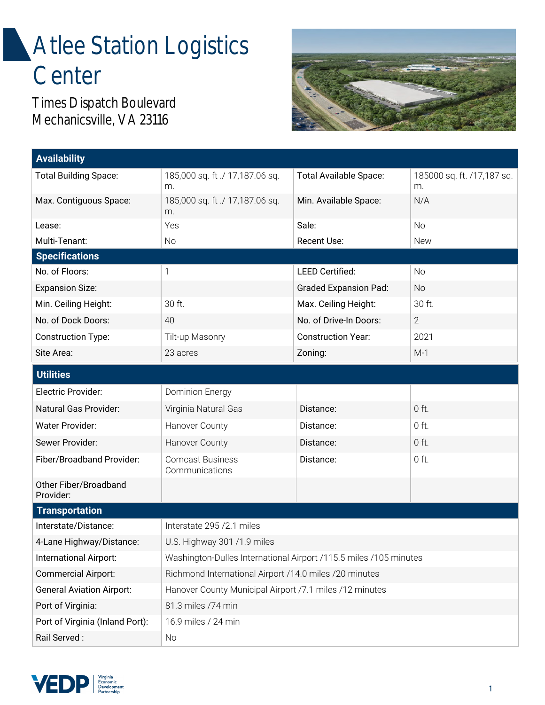## **Atlee Station Logistics Center**

Times Dispatch Boulevard Mechanicsville, VA 23116



| <b>Availability</b>                |                                                                   |                              |                                  |
|------------------------------------|-------------------------------------------------------------------|------------------------------|----------------------------------|
| <b>Total Building Space:</b>       | 185,000 sq. ft ./ 17,187.06 sq.<br>m.                             | Total Available Space:       | 185000 sq. ft. /17,187 sq.<br>m. |
| Max. Contiguous Space:             | 185,000 sq. ft ./ 17,187.06 sq.<br>m.                             | Min. Available Space:        | N/A                              |
| Lease:                             | Yes                                                               | Sale:                        | <b>No</b>                        |
| Multi-Tenant:                      | No                                                                | Recent Use:                  | <b>New</b>                       |
| <b>Specifications</b>              |                                                                   |                              |                                  |
| No. of Floors:                     | 1                                                                 | <b>LEED Certified:</b>       | No                               |
| <b>Expansion Size:</b>             |                                                                   | <b>Graded Expansion Pad:</b> | <b>No</b>                        |
| Min. Ceiling Height:               | 30 ft.                                                            | Max. Ceiling Height:         | 30 ft.                           |
| No. of Dock Doors:                 | 40                                                                | No. of Drive-In Doors:       | $\overline{2}$                   |
| <b>Construction Type:</b>          | Tilt-up Masonry                                                   | <b>Construction Year:</b>    | 2021                             |
| Site Area:                         | 23 acres                                                          | Zoning:                      | $M-1$                            |
| <b>Utilities</b>                   |                                                                   |                              |                                  |
| Electric Provider:                 | Dominion Energy                                                   |                              |                                  |
| Natural Gas Provider:              | Virginia Natural Gas                                              | Distance:                    | $0$ ft.                          |
| Water Provider:                    | Hanover County                                                    | Distance:                    | $0$ ft.                          |
| Sewer Provider:                    | Hanover County                                                    | Distance:                    | $0$ ft.                          |
| Fiber/Broadband Provider:          | <b>Comcast Business</b><br>Communications                         | Distance:                    | $0$ ft.                          |
| Other Fiber/Broadband<br>Provider: |                                                                   |                              |                                  |
| <b>Transportation</b>              |                                                                   |                              |                                  |
| Interstate/Distance:               | Interstate 295 / 2.1 miles                                        |                              |                                  |
| 4-Lane Highway/Distance:           | U.S. Highway 301 /1.9 miles                                       |                              |                                  |
| International Airport:             | Washington-Dulles International Airport /115.5 miles /105 minutes |                              |                                  |
| Commercial Airport:                | Richmond International Airport /14.0 miles /20 minutes            |                              |                                  |
| <b>General Aviation Airport:</b>   | Hanover County Municipal Airport /7.1 miles /12 minutes           |                              |                                  |
| Port of Virginia:                  | 81.3 miles /74 min                                                |                              |                                  |
| Port of Virginia (Inland Port):    | 16.9 miles / 24 min                                               |                              |                                  |
| Rail Served:                       | No                                                                |                              |                                  |